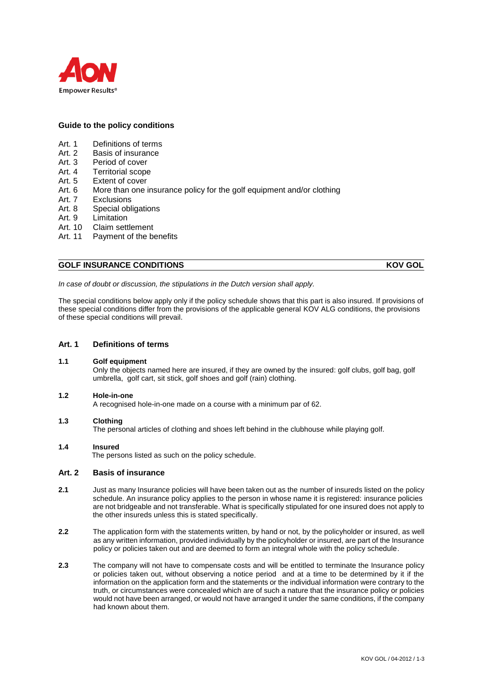

## **Guide to the policy conditions**

- Art. 1 Definitions of terms
- Art. 2 Basis of insurance
- Art. 3 Period of cover
- Art. 4 Territorial scope
- Art. 5 Extent of cover
- Art. 6 More than one insurance policy for the golf equipment and/or clothing<br>Art. 7 Exclusions
- **Exclusions**
- Art. 8 Special obligations
- Art. 9 Limitation
- Art. 10 Claim settlement
- Art. 11 Payment of the benefits

# **GOLF INSURANCE CONDITIONS** KOV GOL

*In case of doubt or discussion, the stipulations in the Dutch version shall apply.*

The special conditions below apply only if the policy schedule shows that this part is also insured. If provisions of these special conditions differ from the provisions of the applicable general KOV ALG conditions, the provisions of these special conditions will prevail.

# **Art. 1 Definitions of terms**

#### **1.1 Golf equipment**

Only the objects named here are insured, if they are owned by the insured: golf clubs, golf bag, golf umbrella, golf cart, sit stick, golf shoes and golf (rain) clothing.

## **1.2 Hole-in-one**

A recognised hole-in-one made on a course with a minimum par of 62.

#### **1.3 Clothing**

The personal articles of clothing and shoes left behind in the clubhouse while playing golf.

#### **1.4 Insured**

The persons listed as such on the policy schedule.

## **Art. 2 Basis of insurance**

- **2.1** Just as many Insurance policies will have been taken out as the number of insureds listed on the policy schedule. An insurance policy applies to the person in whose name it is registered: insurance policies are not bridgeable and not transferable. What is specifically stipulated for one insured does not apply to the other insureds unless this is stated specifically.
- **2.2** The application form with the statements written, by hand or not, by the policyholder or insured, as well as any written information, provided individually by the policyholder or insured, are part of the Insurance policy or policies taken out and are deemed to form an integral whole with the policy schedule.
- **2.3** The company will not have to compensate costs and will be entitled to terminate the Insurance policy or policies taken out, without observing a notice period and at a time to be determined by it if the information on the application form and the statements or the individual information were contrary to the truth, or circumstances were concealed which are of such a nature that the insurance policy or policies would not have been arranged, or would not have arranged it under the same conditions, if the company had known about them.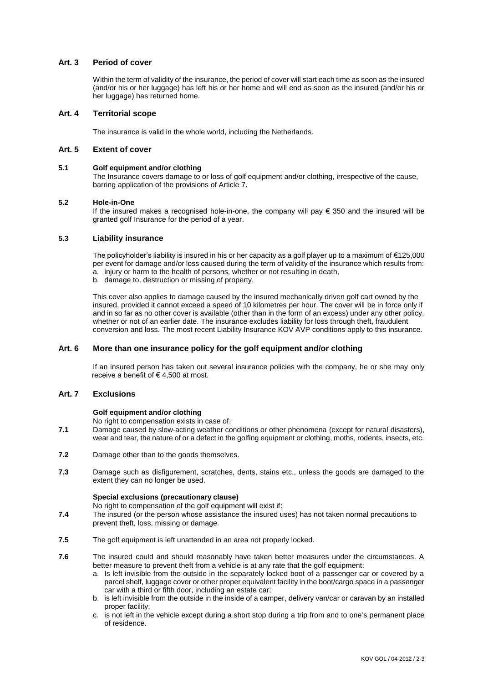## **Art. 3 Period of cover**

Within the term of validity of the insurance, the period of cover will start each time as soon as the insured (and/or his or her luggage) has left his or her home and will end as soon as the insured (and/or his or her luggage) has returned home.

## **Art. 4 Territorial scope**

The insurance is valid in the whole world, including the Netherlands.

## **Art. 5 Extent of cover**

### **5.1 Golf equipment and/or clothing**

The Insurance covers damage to or loss of golf equipment and/or clothing, irrespective of the cause, barring application of the provisions of Article 7.

## **5.2 Hole-in-One**

If the insured makes a recognised hole-in-one, the company will pay € 350 and the insured will be granted golf Insurance for the period of a year.

## **5.3 Liability insurance**

The policyholder's liability is insured in his or her capacity as a golf player up to a maximum of €125,000 per event for damage and/or loss caused during the term of validity of the insurance which results from: a. injury or harm to the health of persons, whether or not resulting in death,

b. damage to, destruction or missing of property.

This cover also applies to damage caused by the insured mechanically driven golf cart owned by the insured, provided it cannot exceed a speed of 10 kilometres per hour. The cover will be in force only if and in so far as no other cover is available (other than in the form of an excess) under any other policy, whether or not of an earlier date. The insurance excludes liability for loss through theft, fraudulent conversion and loss. The most recent Liability Insurance KOV AVP conditions apply to this insurance.

## **Art. 6 More than one insurance policy for the golf equipment and/or clothing**

If an insured person has taken out several insurance policies with the company, he or she may only receive a benefit of  $\in$  4,500 at most.

## **Art. 7 Exclusions**

## **Golf equipment and/or clothing**

No right to compensation exists in case of:

- **7.1** Damage caused by slow-acting weather conditions or other phenomena (except for natural disasters), wear and tear, the nature of or a defect in the golfing equipment or clothing, moths, rodents, insects, etc.
- **7.2** Damage other than to the goods themselves.
- **7.3** Damage such as disfigurement, scratches, dents, stains etc., unless the goods are damaged to the extent they can no longer be used.

#### **Special exclusions (precautionary clause)**

No right to compensation of the golf equipment will exist if:

- **7.4** The insured (or the person whose assistance the insured uses) has not taken normal precautions to prevent theft, loss, missing or damage.
- **7.5** The golf equipment is left unattended in an area not properly locked.
- **7.6** The insured could and should reasonably have taken better measures under the circumstances. A better measure to prevent theft from a vehicle is at any rate that the golf equipment:
	- a. Is left invisible from the outside in the separately locked boot of a passenger car or covered by a parcel shelf, luggage cover or other proper equivalent facility in the boot/cargo space in a passenger car with a third or fifth door, including an estate car;
	- b. is left invisible from the outside in the inside of a camper, delivery van/car or caravan by an installed proper facility;
	- c. is not left in the vehicle except during a short stop during a trip from and to one's permanent place of residence.